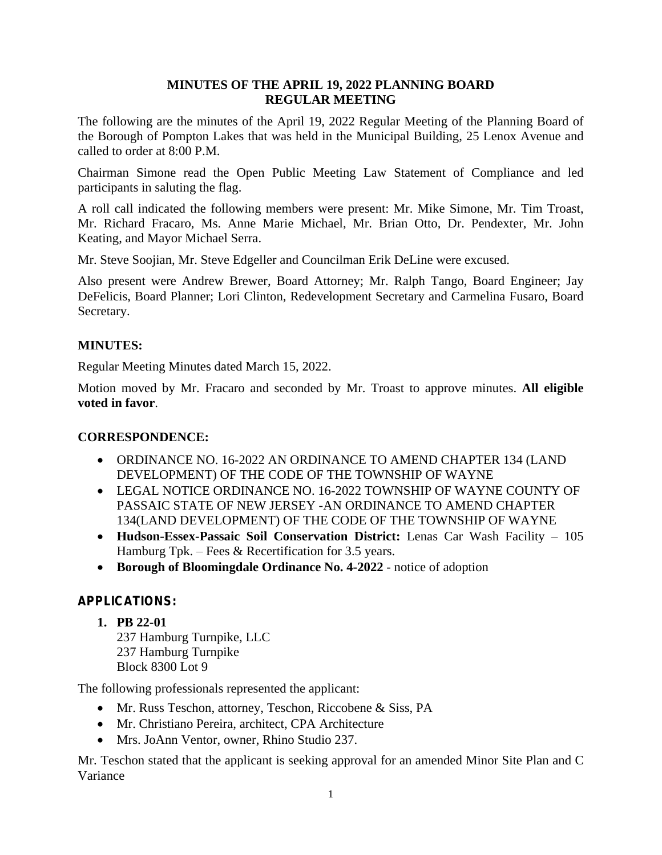## **MINUTES OF THE APRIL 19, 2022 PLANNING BOARD REGULAR MEETING**

The following are the minutes of the April 19, 2022 Regular Meeting of the Planning Board of the Borough of Pompton Lakes that was held in the Municipal Building, 25 Lenox Avenue and called to order at 8:00 P.M.

Chairman Simone read the Open Public Meeting Law Statement of Compliance and led participants in saluting the flag.

A roll call indicated the following members were present: Mr. Mike Simone, Mr. Tim Troast, Mr. Richard Fracaro, Ms. Anne Marie Michael, Mr. Brian Otto, Dr. Pendexter, Mr. John Keating, and Mayor Michael Serra.

Mr. Steve Soojian, Mr. Steve Edgeller and Councilman Erik DeLine were excused.

Also present were Andrew Brewer, Board Attorney; Mr. Ralph Tango, Board Engineer; Jay DeFelicis, Board Planner; Lori Clinton, Redevelopment Secretary and Carmelina Fusaro, Board Secretary.

# **MINUTES:**

Regular Meeting Minutes dated March 15, 2022.

Motion moved by Mr. Fracaro and seconded by Mr. Troast to approve minutes. **All eligible voted in favor**.

# **CORRESPONDENCE:**

- ORDINANCE NO. 16-2022 AN ORDINANCE TO AMEND CHAPTER 134 (LAND DEVELOPMENT) OF THE CODE OF THE TOWNSHIP OF WAYNE
- LEGAL NOTICE ORDINANCE NO. 16-2022 TOWNSHIP OF WAYNE COUNTY OF PASSAIC STATE OF NEW JERSEY -AN ORDINANCE TO AMEND CHAPTER 134(LAND DEVELOPMENT) OF THE CODE OF THE TOWNSHIP OF WAYNE
- **Hudson-Essex-Passaic Soil Conservation District:** Lenas Car Wash Facility 105 Hamburg Tpk. – Fees & Recertification for 3.5 years.
- **Borough of Bloomingdale Ordinance No. 4-2022** notice of adoption

# **APPLICATIONS:**

**1. PB 22-01** 237 Hamburg Turnpike, LLC 237 Hamburg Turnpike Block 8300 Lot 9

The following professionals represented the applicant:

- Mr. Russ Teschon, attorney, Teschon, Riccobene & Siss, PA
- Mr. Christiano Pereira, architect, CPA Architecture
- Mrs. JoAnn Ventor, owner, Rhino Studio 237.

Mr. Teschon stated that the applicant is seeking approval for an amended Minor Site Plan and C Variance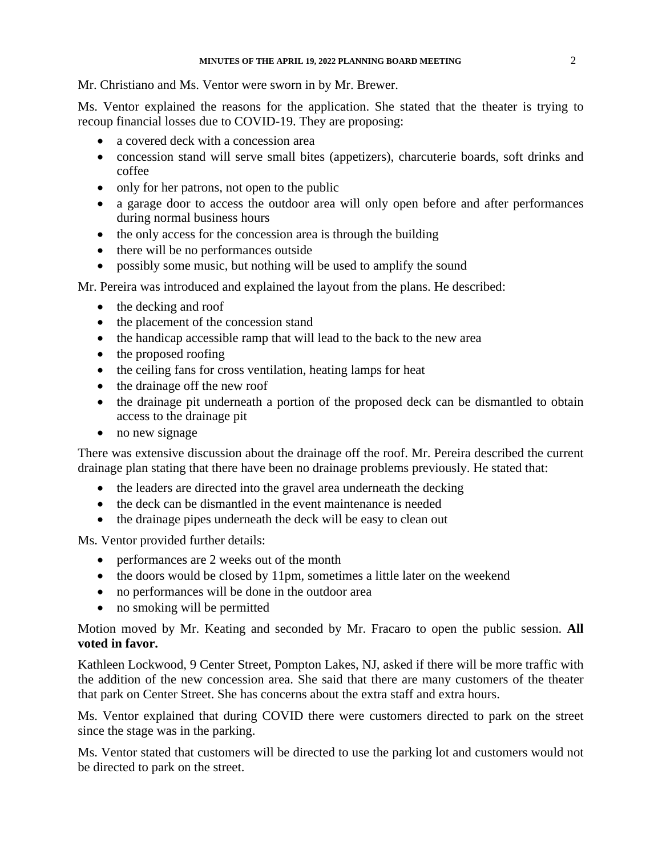Mr. Christiano and Ms. Ventor were sworn in by Mr. Brewer.

Ms. Ventor explained the reasons for the application. She stated that the theater is trying to recoup financial losses due to COVID-19. They are proposing:

- a covered deck with a concession area
- concession stand will serve small bites (appetizers), charcuterie boards, soft drinks and coffee
- only for her patrons, not open to the public
- a garage door to access the outdoor area will only open before and after performances during normal business hours
- the only access for the concession area is through the building
- there will be no performances outside
- possibly some music, but nothing will be used to amplify the sound

Mr. Pereira was introduced and explained the layout from the plans. He described:

- the decking and roof
- the placement of the concession stand
- the handicap accessible ramp that will lead to the back to the new area
- the proposed roofing
- the ceiling fans for cross ventilation, heating lamps for heat
- the drainage off the new roof
- the drainage pit underneath a portion of the proposed deck can be dismantled to obtain access to the drainage pit
- no new signage

There was extensive discussion about the drainage off the roof. Mr. Pereira described the current drainage plan stating that there have been no drainage problems previously. He stated that:

- the leaders are directed into the gravel area underneath the decking
- the deck can be dismantled in the event maintenance is needed
- the drainage pipes underneath the deck will be easy to clean out

Ms. Ventor provided further details:

- performances are 2 weeks out of the month
- the doors would be closed by 11pm, sometimes a little later on the weekend
- no performances will be done in the outdoor area
- no smoking will be permitted

Motion moved by Mr. Keating and seconded by Mr. Fracaro to open the public session. **All voted in favor.**

Kathleen Lockwood, 9 Center Street, Pompton Lakes, NJ, asked if there will be more traffic with the addition of the new concession area. She said that there are many customers of the theater that park on Center Street. She has concerns about the extra staff and extra hours.

Ms. Ventor explained that during COVID there were customers directed to park on the street since the stage was in the parking.

Ms. Ventor stated that customers will be directed to use the parking lot and customers would not be directed to park on the street.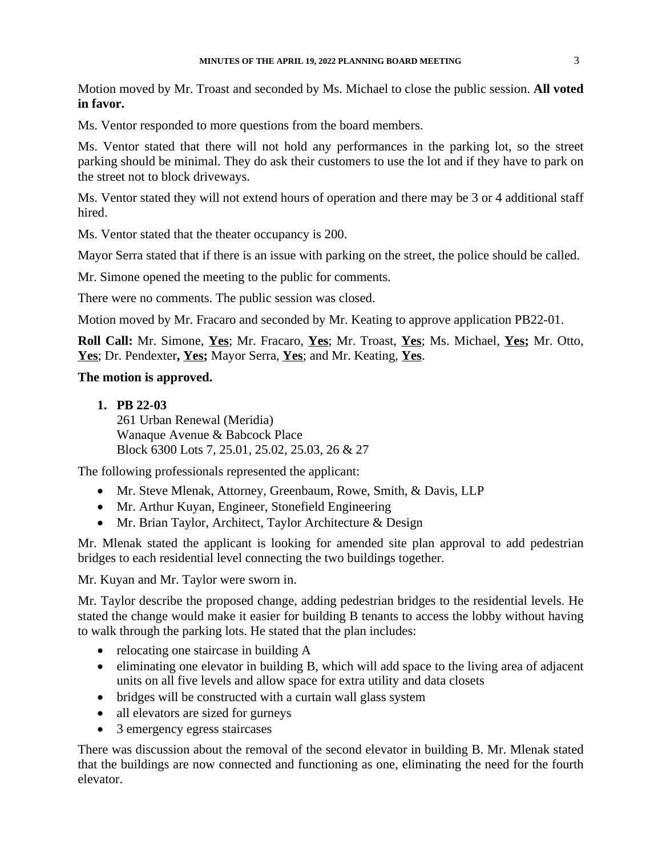Motion moved by Mr. Troast and seconded by Ms. Michael to close the public session. **All voted in favor.**

Ms. Ventor responded to more questions from the board members.

Ms. Ventor stated that there will not hold any performances in the parking lot, so the street parking should be minimal. They do ask their customers to use the lot and if they have to park on the street not to block driveways.

Ms. Ventor stated they will not extend hours of operation and there may be 3 or 4 additional staff hired.

Ms. Ventor stated that the theater occupancy is 200.

Mayor Serra stated that if there is an issue with parking on the street, the police should be called.

Mr. Simone opened the meeting to the public for comments.

There were no comments. The public session was closed.

Motion moved by Mr. Fracaro and seconded by Mr. Keating to approve application PB22-01.

**Roll Call:** Mr. Simone, **Yes**; Mr. Fracaro, **Yes**; Mr. Troast, **Yes**; Ms. Michael, **Yes;** Mr. Otto, **Yes**; Dr. Pendexter**, Yes;** Mayor Serra, **Yes**; and Mr. Keating, **Yes**.

#### **The motion is approved.**

**1. PB 22-03**

261 Urban Renewal (Meridia) Wanaque Avenue & Babcock Place Block 6300 Lots 7, 25.01, 25.02, 25.03, 26 & 27

The following professionals represented the applicant:

- Mr. Steve Mlenak, Attorney, Greenbaum, Rowe, Smith, & Davis, LLP
- Mr. Arthur Kuyan, Engineer, Stonefield Engineering
- Mr. Brian Taylor, Architect, Taylor Architecture & Design

Mr. Mlenak stated the applicant is looking for amended site plan approval to add pedestrian bridges to each residential level connecting the two buildings together.

Mr. Kuyan and Mr. Taylor were sworn in.

Mr. Taylor describe the proposed change, adding pedestrian bridges to the residential levels. He stated the change would make it easier for building B tenants to access the lobby without having to walk through the parking lots. He stated that the plan includes:

- relocating one staircase in building A
- eliminating one elevator in building B, which will add space to the living area of adjacent units on all five levels and allow space for extra utility and data closets
- bridges will be constructed with a curtain wall glass system
- all elevators are sized for gurneys
- 3 emergency egress staircases

There was discussion about the removal of the second elevator in building B. Mr. Mlenak stated that the buildings are now connected and functioning as one, eliminating the need for the fourth elevator.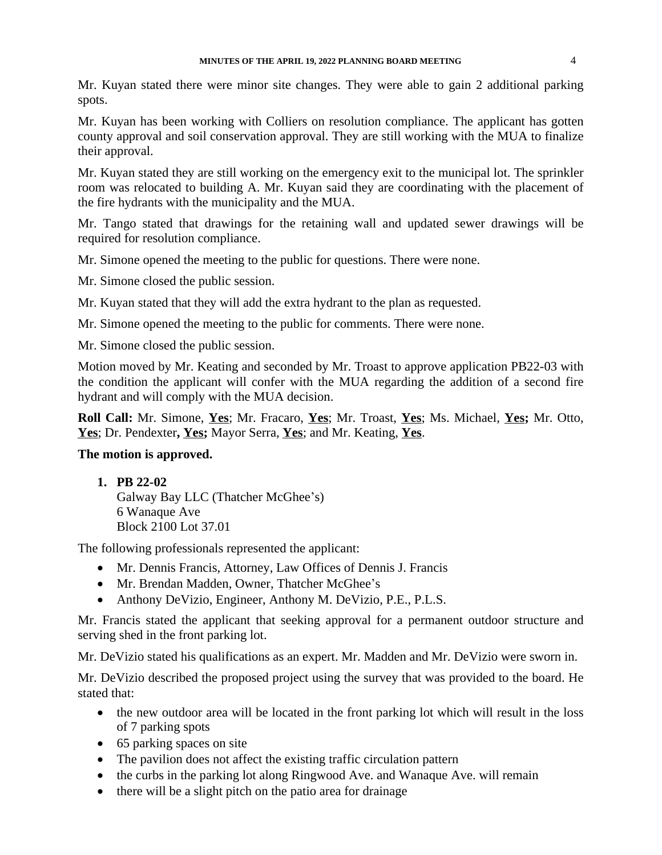Mr. Kuyan stated there were minor site changes. They were able to gain 2 additional parking spots.

Mr. Kuyan has been working with Colliers on resolution compliance. The applicant has gotten county approval and soil conservation approval. They are still working with the MUA to finalize their approval.

Mr. Kuyan stated they are still working on the emergency exit to the municipal lot. The sprinkler room was relocated to building A. Mr. Kuyan said they are coordinating with the placement of the fire hydrants with the municipality and the MUA.

Mr. Tango stated that drawings for the retaining wall and updated sewer drawings will be required for resolution compliance.

Mr. Simone opened the meeting to the public for questions. There were none.

Mr. Simone closed the public session.

Mr. Kuyan stated that they will add the extra hydrant to the plan as requested.

Mr. Simone opened the meeting to the public for comments. There were none.

Mr. Simone closed the public session.

Motion moved by Mr. Keating and seconded by Mr. Troast to approve application PB22-03 with the condition the applicant will confer with the MUA regarding the addition of a second fire hydrant and will comply with the MUA decision.

**Roll Call:** Mr. Simone, **Yes**; Mr. Fracaro, **Yes**; Mr. Troast, **Yes**; Ms. Michael, **Yes;** Mr. Otto, **Yes**; Dr. Pendexter**, Yes;** Mayor Serra, **Yes**; and Mr. Keating, **Yes**.

### **The motion is approved.**

#### **1. PB 22-02**

Galway Bay LLC (Thatcher McGhee's) 6 Wanaque Ave Block 2100 Lot 37.01

The following professionals represented the applicant:

- Mr. Dennis Francis, Attorney, Law Offices of Dennis J. Francis
- Mr. Brendan Madden, Owner, Thatcher McGhee's
- Anthony DeVizio, Engineer, Anthony M. DeVizio, P.E., P.L.S.

Mr. Francis stated the applicant that seeking approval for a permanent outdoor structure and serving shed in the front parking lot.

Mr. DeVizio stated his qualifications as an expert. Mr. Madden and Mr. DeVizio were sworn in.

Mr. DeVizio described the proposed project using the survey that was provided to the board. He stated that:

- the new outdoor area will be located in the front parking lot which will result in the loss of 7 parking spots
- 65 parking spaces on site
- The pavilion does not affect the existing traffic circulation pattern
- the curbs in the parking lot along Ringwood Ave. and Wanaque Ave. will remain
- there will be a slight pitch on the patio area for drainage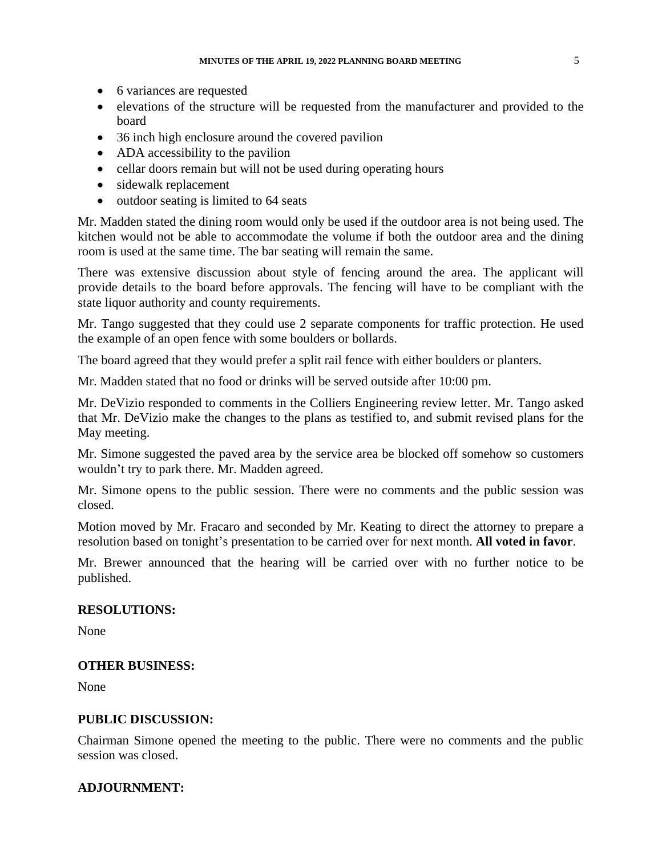- 6 variances are requested
- elevations of the structure will be requested from the manufacturer and provided to the board
- 36 inch high enclosure around the covered pavilion
- ADA accessibility to the pavilion
- cellar doors remain but will not be used during operating hours
- sidewalk replacement
- outdoor seating is limited to 64 seats

Mr. Madden stated the dining room would only be used if the outdoor area is not being used. The kitchen would not be able to accommodate the volume if both the outdoor area and the dining room is used at the same time. The bar seating will remain the same.

There was extensive discussion about style of fencing around the area. The applicant will provide details to the board before approvals. The fencing will have to be compliant with the state liquor authority and county requirements.

Mr. Tango suggested that they could use 2 separate components for traffic protection. He used the example of an open fence with some boulders or bollards.

The board agreed that they would prefer a split rail fence with either boulders or planters.

Mr. Madden stated that no food or drinks will be served outside after 10:00 pm.

Mr. DeVizio responded to comments in the Colliers Engineering review letter. Mr. Tango asked that Mr. DeVizio make the changes to the plans as testified to, and submit revised plans for the May meeting.

Mr. Simone suggested the paved area by the service area be blocked off somehow so customers wouldn't try to park there. Mr. Madden agreed.

Mr. Simone opens to the public session. There were no comments and the public session was closed.

Motion moved by Mr. Fracaro and seconded by Mr. Keating to direct the attorney to prepare a resolution based on tonight's presentation to be carried over for next month. **All voted in favor**.

Mr. Brewer announced that the hearing will be carried over with no further notice to be published.

## **RESOLUTIONS:**

None

## **OTHER BUSINESS:**

None

## **PUBLIC DISCUSSION:**

Chairman Simone opened the meeting to the public. There were no comments and the public session was closed.

## **ADJOURNMENT:**